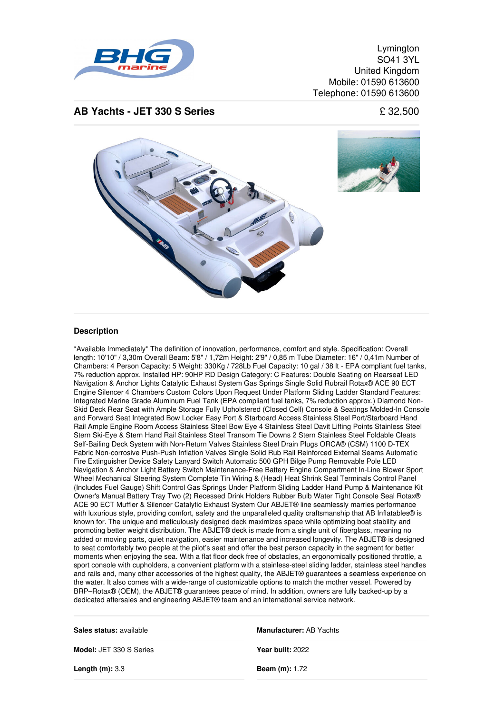

Lymington SO41 3YL United Kingdom Mobile: 01590 613600 Telephone: 01590 613600

## **AB Yachts - JET 330 S Series** £ 32,500



## **Description**

\*Available Immediately\* The definition of innovation, performance, comfort and style. Specification: Overall length: 10'10" / 3,30m Overall Beam: 5'8" / 1,72m Height: 2'9" / 0,85 m Tube Diameter: 16" / 0,41m Number of Chambers: 4 Person Capacity: 5 Weight: 330Kg / 728Lb Fuel Capacity: 10 gal / 38 lt - EPA compliant fuel tanks, 7% reduction approx. Installed HP: 90HP RD Design Category: C Features: Double Seating on Rearseat LED Navigation & Anchor Lights Catalytic Exhaust System Gas Springs Single Solid Rubrail Rotax® ACE 90 ECT Engine Silencer 4 Chambers Custom Colors Upon Request Under Platform Sliding Ladder Standard Features: Integrated Marine Grade Aluminum Fuel Tank (EPA compliant fuel tanks, 7% reduction approx.) Diamond Non-Skid Deck Rear Seat with Ample Storage Fully Upholstered (Closed Cell) Console & Seatings Molded-In Console and Forward Seat Integrated Bow Locker Easy Port & Starboard Access Stainless Steel Port/Starboard Hand Rail Ample Engine Room Access Stainless Steel Bow Eye 4 Stainless Steel Davit Lifting Points Stainless Steel Stern Ski-Eye & Stern Hand Rail Stainless Steel Transom Tie Downs 2 Stern Stainless Steel Foldable Cleats Self-Bailing Deck System with Non-Return Valves Stainless Steel Drain Plugs ORCA® (CSM) 1100 D-TEX Fabric Non-corrosive Push-Push Inflation Valves Single Solid Rub Rail Reinforced External Seams Automatic Fire Extinguisher Device Safety Lanyard Switch Automatic 500 GPH Bilge Pump Removable Pole LED Navigation & Anchor Light Battery Switch Maintenance-Free Battery Engine Compartment In-Line Blower Sport Wheel Mechanical Steering System Complete Tin Wiring & (Head) Heat Shrink Seal Terminals Control Panel (Includes Fuel Gauge) Shift Control Gas Springs Under Platform Sliding Ladder Hand Pump & Maintenance Kit Owner's Manual Battery Tray Two (2) Recessed Drink Holders Rubber Bulb Water Tight Console Seal Rotax® ACE 90 ECT Muffler & Silencer Catalytic Exhaust System Our ABJET® line seamlessly marries performance with luxurious style, providing comfort, safety and the unparalleled quality craftsmanship that AB Inflatables® is known for. The unique and meticulously designed deck maximizes space while optimizing boat stability and promoting better weight distribution. The ABJET® deck is made from a single unit of fiberglass, meaning no added or moving parts, quiet navigation, easier maintenance and increased longevity. The ABJET® is designed to seat comfortably two people at the pilot's seat and offer the best person capacity in the segment for better moments when enjoying the sea. With a flat floor deck free of obstacles, an ergonomically positioned throttle, a sport console with cupholders, a convenient platform with a stainless-steel sliding ladder, stainless steel handles and rails and, many other accessories of the highest quality, the ABJET® quarantees a seamless experience on the water. It also comes with a wide-range of customizable options to match the mother vessel. Powered by BRP–Rotax® (OEM), the ABJET® guarantees peace of mind. In addition, owners are fully backed-up by a dedicated aftersales and engineering ABJET® team and an international service network.

| Sales status: available        | <b>Manufacturer: AB Yachts</b> |
|--------------------------------|--------------------------------|
| <b>Model: JET 330 S Series</b> | Year built: 2022               |
| Length $(m)$ : 3.3             | <b>Beam (m):</b> $1.72$        |